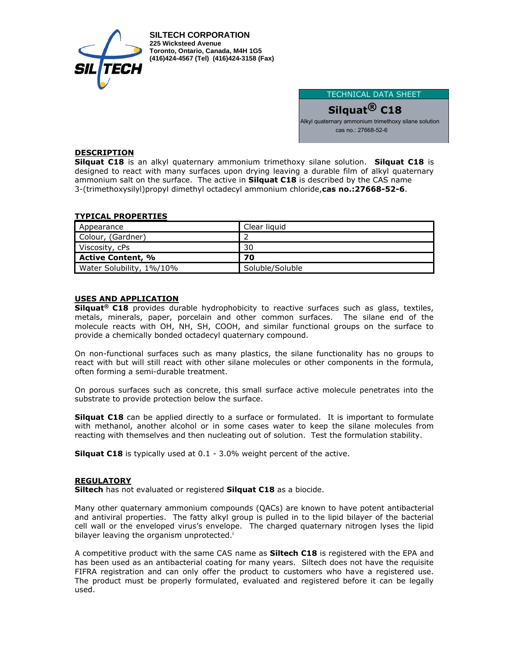

**SILTECH CORPORATION 225 Wicksteed Avenue Toronto, Ontario, Canada, M4H 1G5 (416)424-4567 (Tel) (416)424-3158 (Fax)**

> TECHNICAL DATA SHEET **Silquat® C18** Alkyl quaternary ammonium trimethoxy silane solution cas no.: 27668-52-6

# **DESCRIPTION**

**Silquat C18** is an alkyl quaternary ammonium trimethoxy silane solution. **Silquat C18** is designed to react with many surfaces upon drying leaving a durable film of alkyl quaternary ammonium salt on the surface. The active in **Silquat C18** is described by the CAS name 3-(trimethoxysilyl)propyl dimethyl octadecyl ammonium chloride,**cas no.:27668-52-6**.

## **TYPICAL PROPERTIES**

| Appearance               | Clear liquid    |
|--------------------------|-----------------|
| Colour, (Gardner)        |                 |
| Viscosity, cPs           | 30              |
| <b>Active Content, %</b> | 70              |
| Water Solubility, 1%/10% | Soluble/Soluble |

## **USES AND APPLICATION**

**Silquat® C18** provides durable hydrophobicity to reactive surfaces such as glass, textiles, metals, minerals, paper, porcelain and other common surfaces. The silane end of the molecule reacts with OH, NH, SH, COOH, and similar functional groups on the surface to provide a chemically bonded octadecyl quaternary compound.

On non-functional surfaces such as many plastics, the silane functionality has no groups to react with but will still react with other silane molecules or other components in the formula, often forming a semi-durable treatment.

On porous surfaces such as concrete, this small surface active molecule penetrates into the substrate to provide protection below the surface.

**Silquat C18** can be applied directly to a surface or formulated. It is important to formulate with methanol, another alcohol or in some cases water to keep the silane molecules from reacting with themselves and then nucleating out of solution. Test the formulation stability.

**Silquat C18** is typically used at 0.1 - 3.0% weight percent of the active.

#### **REGULATORY**

**Siltech** has not evaluated or registered **Silquat C18** as a biocide.

Many other quaternary ammonium compounds (QACs) are known to have potent antibacterial and antiviral properties. The fatty alkyl group is pulled in to the lipid bilayer of the bacterial cell wall or the enveloped virus's envelope. The charged quaternary nitrogen lyses the lipid bilayer leaving the organism unprotected.<sup>i</sup>

A competitive product with the same CAS name as **Siltech C18** is registered with the EPA and has been used as an antibacterial coating for many years. Siltech does not have the requisite FIFRA registration and can only offer the product to customers who have a registered use. The product must be properly formulated, evaluated and registered before it can be legally used.